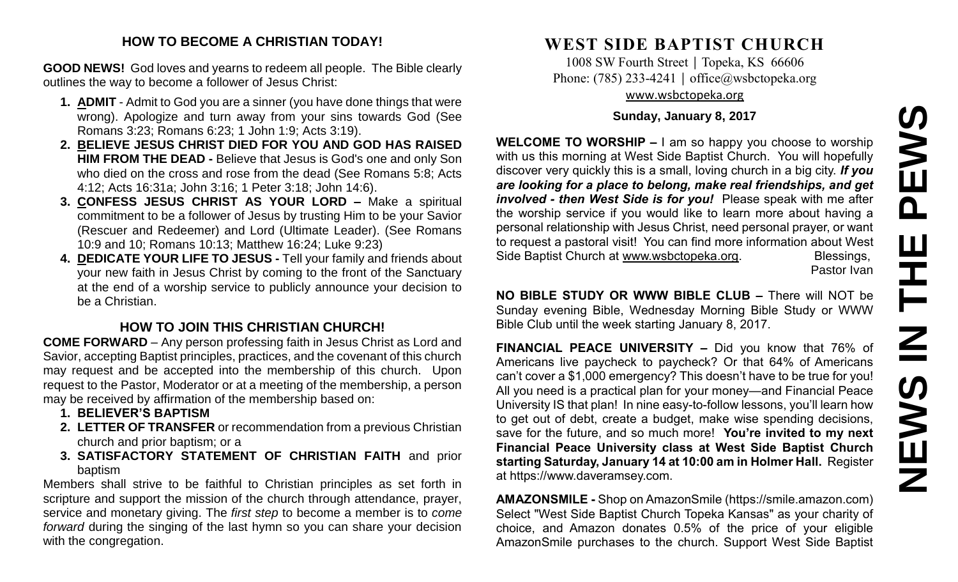### **HOW TO BECOME A CHRISTIAN TODAY!**

**GOOD NEWS!** God loves and yearns to redeem all people. The Bible clearly outlines the way to become a follower of Jesus Christ:

- **1. ADMIT** Admit to God you are a sinner (you have done things that were wrong). Apologize and turn away from your sins towards God (See Romans 3:23; Romans 6:23; 1 John 1:9; Acts 3:19).
- **2. BELIEVE JESUS CHRIST DIED FOR YOU AND GOD HAS RAISED HIM FROM THE DEAD -** Believe that Jesus is God's one and only Son who died on the cross and rose from the dead (See Romans 5:8; Acts 4:12; Acts 16:31a; John 3:16; 1 Peter 3:18; John 14:6).
- **3. CONFESS JESUS CHRIST AS YOUR LORD –** Make a spiritual commitment to be a follower of Jesus by trusting Him to be your Savior (Rescuer and Redeemer) and Lord (Ultimate Leader). (See Romans 10:9 and 10; Romans 10:13; Matthew 16:24; Luke 9:23)
- **4. DEDICATE YOUR LIFE TO JESUS -** Tell your family and friends about your new faith in Jesus Christ by coming to the front of the Sanctuary at the end of a worship service to publicly announce your decision to be a Christian.

# **HOW TO JOIN THIS CHRISTIAN CHURCH!**

**COME FORWARD** – Any person professing faith in Jesus Christ as Lord and Savior, accepting Baptist principles, practices, and the covenant of this church may request and be accepted into the membership of this church. Upon request to the Pastor, Moderator or at a meeting of the membership, a person may be received by affirmation of the membership based on:

- **1. BELIEVER'S BAPTISM**
- **2. LETTER OF TRANSFER** or recommendation from a previous Christian church and prior baptism; or a
- **3. SATISFACTORY STATEMENT OF CHRISTIAN FAITH** and prior baptism

Members shall strive to be faithful to Christian principles as set forth in scripture and support the mission of the church through attendance, prayer, service and monetary giving. The *first step* to become a member is to *come forward* during the singing of the last hymn so you can share your decision with the congregation.

# **WEST SIDE BAPTIST CHURCH**

1008 SW Fourth Street | Topeka, KS 66606 Phone: (785) 233-4241 │ [office@wsbctopeka.org](mailto:office@wsbctopeka.org) [www.wsbctopeka.org](http://www.wsbctopeka.org/)

# **Sunday, January 8, 2017**

**WELCOME TO WORSHIP –** I am so happy you choose to worship with us this morning at West Side Baptist Church. You will hopefully discover very quickly this is a small, loving church in a big city. *If you are looking for a place to belong, make real friendships, and get involved - then West Side is for you!* Please speak with me after the worship service if you would like to learn more about having a personal relationship with Jesus Christ, need personal prayer, or want to request a pastoral visit! You can find more information about West Side Baptist Church at [www.wsbctopeka.org.](http://www.wsbctopeka.org/) Blessings,

Pastor Ivan

**NO BIBLE STUDY OR WWW BIBLE CLUB –** There will NOT be Sunday evening Bible, Wednesday Morning Bible Study or WWW Bible Club until the week starting January 8, 2017.

**FINANCIAL PEACE UNIVERSITY –** Did you know that 76% of Americans live paycheck to paycheck? Or that 64% of Americans can't cover a \$1,000 emergency? This doesn't have to be true for you! All you need is a practical plan for your money—and Financial Peace University IS that plan! In nine easy-to-follow lessons, you'll learn how to get out of debt, create a budget, make wise spending decisions, save for the future, and so much more! **You're invited to my next Financial Peace University class at West Side Baptist Church starting Saturday, January 14 at 10:00 am in Holmer Hall.** Register at https://www.daveramsey.com.

**AMAZONSMILE -** Shop on AmazonSmile (https://smile.amazon.com) Select "West Side Baptist Church Topeka Kansas" as your charity of choice, and Amazon donates 0.5% of the price of your eligible AmazonSmile purchases to the church. Support West Side Baptist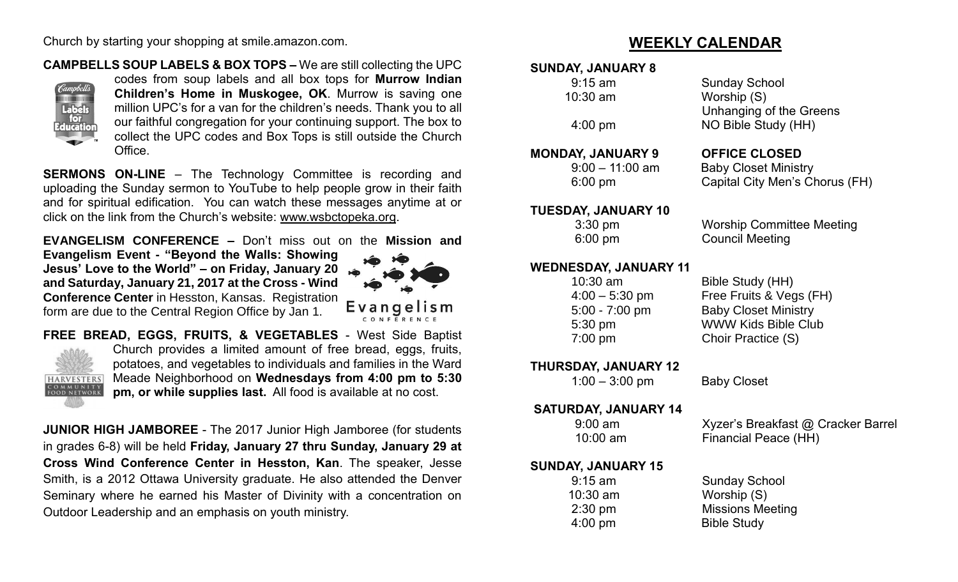Church by starting your shopping at smile.amazon.com.

# **CAMPBELLS SOUP LABELS & BOX TOPS –** We are still collecting the UPC



codes from soup labels and all box tops for **Murrow Indian Children's Home in Muskogee, OK**. Murrow is saving one million UPC's for a van for the children's needs. Thank you to all our faithful congregation for your continuing support. The box to collect the UPC codes and Box Tops is still outside the Church Office.

**SERMONS ON-LINE** – The Technology Committee is recording and uploading the Sunday sermon to YouTube to help people grow in their faith and for spiritual edification. You can watch these messages anytime at or click on the link from the Church's website: [www.wsbctopeka.org.](http://www.wsbctopeka.org/)

**EVANGELISM CONFERENCE –** Don't miss out on the **Mission and** 

**Evangelism Event - "Beyond the Walls: Showing Jesus' Love to the World" – on Friday, January 20 and Saturday, January 21, 2017 at the Cross - Wind Conference Center** in Hesston, Kansas. Registration form are due to the Central Region Office by Jan 1.



**FREE BREAD, EGGS, FRUITS, & VEGETABLES** - West Side Baptist Church provides a limited amount of free bread, eggs, fruits, potatoes, and vegetables to individuals and families in the Ward Meade Neighborhood on **Wednesdays from 4:00 pm to 5:30 HARVESTERS** COMMUNITY<br>FOOD NETWORK **pm, or while supplies last.** All food is available at no cost.

**JUNIOR HIGH JAMBOREE** - The 2017 Junior High Jamboree (for students in grades 6-8) will be held **Friday, January 27 thru Sunday, January 29 at Cross Wind Conference Center in Hesston, Kan**. The speaker, Jesse Smith, is a 2012 Ottawa University graduate. He also attended the Denver Seminary where he earned his Master of Divinity with a concentration on Outdoor Leadership and an emphasis on youth ministry.

# **WEEKLY CALENDAR**

# **SUNDAY, JANUARY 8**

## **MONDAY, JANUARY 9 OFFICE CLOSED**

#### **TUESDAY, JANUARY 10**

# **WEDNESDAY, JANUARY 11**

**THURSDAY, JANUARY 12** 

#### **SATURDAY, JANUARY 14**

# **SUNDAY, JANUARY 15**

 10:30 am Worship (S) 4:00 pm Bible Study

 9:15 am Sunday School 10:30 am Worship (S) Unhanging of the Greens 4:00 pm NO Bible Study (HH)

 9:00 – 11:00 am Baby Closet Ministry 6:00 pm Capital City Men's Chorus (FH)

3:30 pm Worship Committee Meeting 6:00 pm Council Meeting

 10:30 am Bible Study (HH) 4:00 – 5:30 pm Free Fruits & Vegs (FH) 5:00 - 7:00 pm Baby Closet Ministry 5:30 pm WWW Kids Bible Club 7:00 pm Choir Practice (S)

1:00 – 3:00 pm Baby Closet

 9:00 am Xyzer's Breakfast @ Cracker Barrel 10:00 am Financial Peace (HH)

 9:15 am Sunday School 2:30 pm Missions Meeting